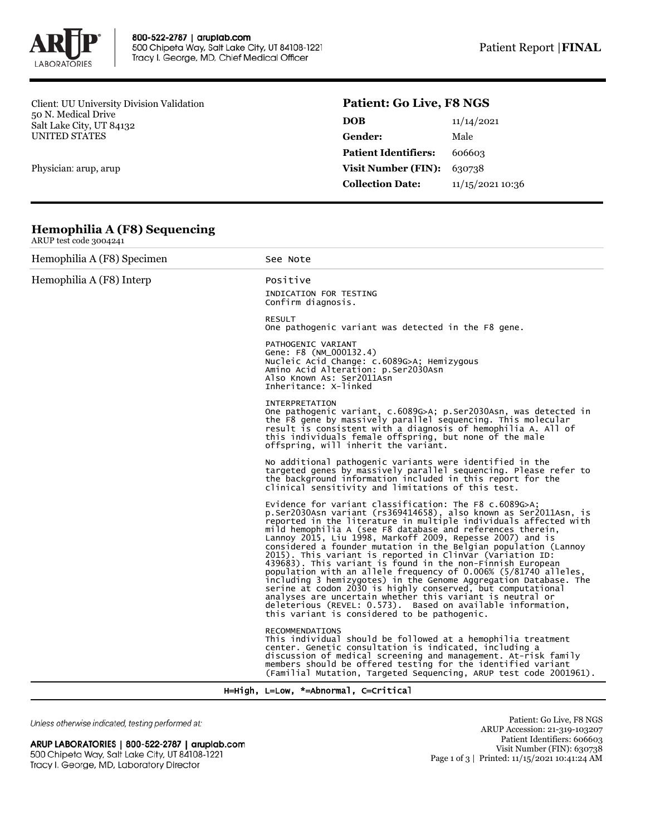

Client: UU University Division Validation 50 N. Medical Drive Salt Lake City, UT 84132 UNITED STATES

Physician: arup, arup

# **Patient: Go Live, F8 NGS**

| <b>DOB</b>                  | 11/14/2021       |  |
|-----------------------------|------------------|--|
| Gender:                     | Male             |  |
| <b>Patient Identifiers:</b> | 606603           |  |
| <b>Visit Number (FIN):</b>  | 630738           |  |
| <b>Collection Date:</b>     | 11/15/2021 10:36 |  |
|                             |                  |  |

### **Hemophilia A (F8) Sequencing** ARUP test code 3004241

| $1001$ two code $000444$   |                                                                                                                                                                                                                                                                                                                                                                                                                                                                                                                                                                                                                                                                                                                                                                                                                                                                                                             |
|----------------------------|-------------------------------------------------------------------------------------------------------------------------------------------------------------------------------------------------------------------------------------------------------------------------------------------------------------------------------------------------------------------------------------------------------------------------------------------------------------------------------------------------------------------------------------------------------------------------------------------------------------------------------------------------------------------------------------------------------------------------------------------------------------------------------------------------------------------------------------------------------------------------------------------------------------|
| Hemophilia A (F8) Specimen | See Note                                                                                                                                                                                                                                                                                                                                                                                                                                                                                                                                                                                                                                                                                                                                                                                                                                                                                                    |
| Hemophilia A (F8) Interp   | Positive<br>INDICATION FOR TESTING<br>Confirm diagnosis.                                                                                                                                                                                                                                                                                                                                                                                                                                                                                                                                                                                                                                                                                                                                                                                                                                                    |
|                            | <b>RESULT</b><br>One pathogenic variant was detected in the F8 gene.                                                                                                                                                                                                                                                                                                                                                                                                                                                                                                                                                                                                                                                                                                                                                                                                                                        |
|                            | PATHOGENIC VARIANT<br>Gene: F8 (NM_000132.4)<br>Nucleic Acid Change: c.6089G>A; Hemizygous<br>Amino Acid Alteration: p.Ser2030Asn<br>Also Known As: Ser2011Asn<br>Inheritance: X-linked                                                                                                                                                                                                                                                                                                                                                                                                                                                                                                                                                                                                                                                                                                                     |
|                            | <b>INTERPRETATION</b><br>One pathogenic variant, c.6089G>A; p.Ser2030Asn, was detected in<br>the F8 gene by massively parallel sequencing. This molecular<br>result is consistent with a diagnosis of hemophilia A. All of<br>this individuals female offspring, but none of the male<br>offspring, will inherit the variant.                                                                                                                                                                                                                                                                                                                                                                                                                                                                                                                                                                               |
|                            | No additional pathogenic variants were identified in the<br>targeted genes by massively parallel sequencing. Please refer to<br>the background information included in this report for the<br>clinical sensitivity and limitations of this test.                                                                                                                                                                                                                                                                                                                                                                                                                                                                                                                                                                                                                                                            |
|                            | Evidence for variant classification: The $F8$ c.6089G>A;<br>p.Ser2030Asn variant (rs369414658), also known as Ser2011Asn, is<br>reported in the literature in multiple individuals affected with<br>mild hemophilia A (see F8 database and references therein,<br>Lannoy 2015, Liu 1998, Markoff 2009, Repesse 2007) and is<br>considered a founder mutation in the Belgian population (Lannoy<br>2015). This variant is reported in ClinVar (Variation ID:<br>439683). This variant is found in the non-Finnish European<br>population with an allele frequency of 0.006% (5/81740 alleles,<br>including 3 hemizygotes) in the Genome Aggregation Database. The<br>serine at codon 2030 is highly conserved, but computational<br>analyses are uncertain whether this variant is neutral or<br>deleterious (REVEL: 0.573). Based on available information,<br>this variant is considered to be pathogenic. |
|                            | <b>RECOMMENDATIONS</b><br>This individual should be followed at a hemophilia treatment<br>center. Genetic consultation is indicated, including a<br>discussion of medical screening and management. At-risk family<br>members should be offered testing for the identified variant<br>(Familial Mutation, Targeted Sequencing, ARUP test code 2001961).                                                                                                                                                                                                                                                                                                                                                                                                                                                                                                                                                     |

H=High, L=Low, \*=Abnormal, C=Critical

Unless otherwise indicated, testing performed at:

## ARUP LABORATORIES | 800-522-2787 | aruplab.com 500 Chipeta Way, Salt Lake City, UT 84108-1221 Tracy I. George, MD, Laboratory Director

Patient: Go Live, F8 NGS ARUP Accession: 21-319-103207 Patient Identifiers: 606603 Visit Number (FIN): 630738 Page 1 of 3 | Printed: 11/15/2021 10:41:24 AM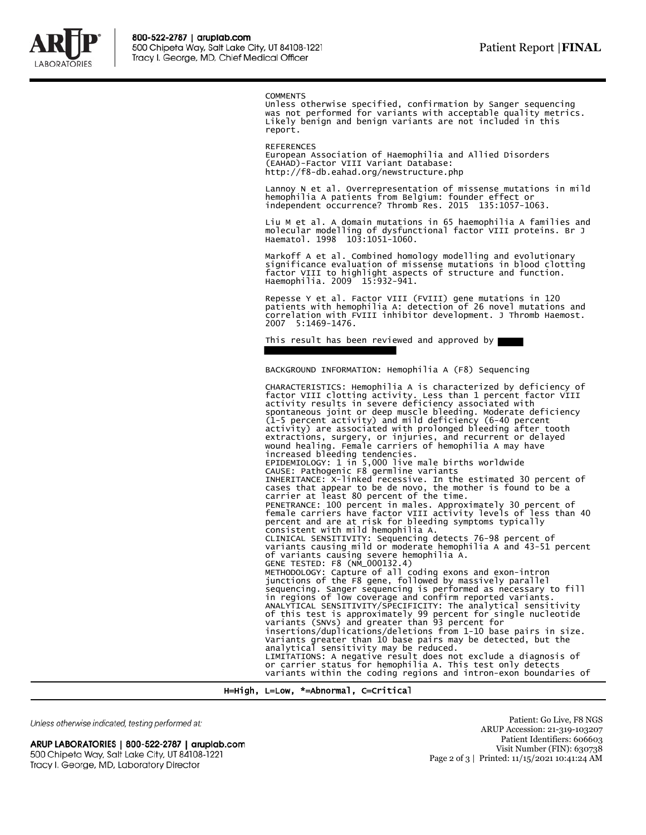

**COMMENTS** 

Unless otherwise specified, confirmation by Sanger sequencing was not performed for variants with acceptable quality metrics. Likely benign and benign variants are not included in this report.

REFERENCES European Association of Haemophilia and Allied Disorders (EAHAD)-Factor VIII Variant Database: http://f8-db.eahad.org/newstructure.php

Lannoy N et al. Overrepresentation of missense mutations in mild hemophilia A patients from Belgium: founder effect or independent occurrence? Thromb Res. 2015 135:1057-1063.

Liu M et al. A domain mutations in 65 haemophilia A families and molecular modelling of dysfunctional factor VIII proteins. Br J Haematol. 1998 103:1051-1060.

Markoff A et al. Combined homology modelling and evolutionary significance evaluation of missense mutations in blood clotting factor VIII to highlight aspects of structure and function. Haemophilia. 2009<sup>-</sup> 15:932-941.

Repesse Y et al. Factor VIII (FVIII) gene mutations in 120 patients with hemophilia A: detection of 26 novel mutations and correlation with FVIII inhibitor development. J Thromb Haemost. 2007 5:1469-1476.

This result has been reviewed and approved by

BACKGROUND INFORMATION: Hemophilia A (F8) Sequencing

CHARACTERISTICS: Hemophilia A is characterized by deficiency of factor VIII clotting activity. Less than 1 percent factor VIII activity results in severe deficiency associated with spontaneous joint or deep muscle bleeding. Moderate deficiency (1-5 percent activity) and mild deficiency (6-40 percent activity) are associated with prolonged bleeding after tooth extractions, surgery, or injuries, and recurrent or delayed wound healing. Female carriers of hemophilia A may have increased bleeding tendencies.<br>EPIDEMIOLOGY: 1 in 5,000 live male births worldwide<br>CAUSE: Pathogenic F8 germline variants<br>INHERITANCE: X-linked recessive. In the estimated 30 percent of<br>cases that appear to be de novo, the consistent with mild hemophilia A. CLINICAL SENSITIVITY: Sequencing detects 76-98 percent of variants causing mild or moderate hemophilia A and 43-51 percent of variants causing severe hemophilia A.<br>GENE TESTED: F8 (NM\_000132.4)<br>METHODOLOGY: Capture of all coding exons and exon-intron<br>junctions of the F8 gene, followed by massively parallel sequencing. Sanger sequencing is performed as necessary to fill in regions of low coverage and confirm reported variants. ANALYTICAL SENSITIVITY/SPECIFICITY: The analytical sensitivity of this test is approximately 99 percent for single nucleotide variants (SNVs) and greater than 93 percent for insertions/duplications/deletions from 1-10 base pairs in size. Variants greater than 10 base pairs may be detected, but the analytical sensitivity may be reduced. LIMITATIONS: A negative result does not exclude a diagnosis of or carrier status for hemophilia A. This test only detects variants within the coding regions and intron-exon boundaries of

H=High, L=Low, \*=Abnormal, C=Critical

Unless otherwise indicated, testing performed at:

#### ARUP LABORATORIES | 800-522-2787 | aruplab.com 500 Chipeta Way, Salt Lake City, UT 84108-1221 Tracy I. George, MD, Laboratory Director

Patient: Go Live, F8 NGS ARUP Accession: 21-319-103207 Patient Identifiers: 606603 Visit Number (FIN): 630738 Page 2 of 3 | Printed: 11/15/2021 10:41:24 AM